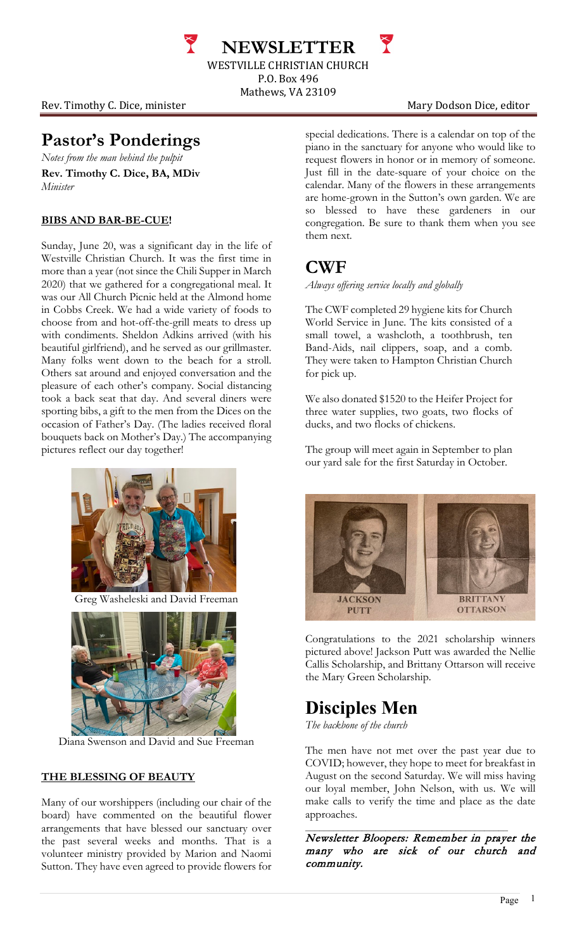**NEWSLETTER** WESTVILLE CHRISTIAN CHURCH P.O. Box 496

Mathews, VA 23109

Rev. Timothy C. Dice, minister Mary Dodson Dice, editor

### **Pastor's Ponderings**

*Notes from the man behind the pulpit* **Rev. Timothy C. Dice, BA, MDiv** *Minister*

#### **BIBS AND BAR-BE-CUE!**

Sunday, June 20, was a significant day in the life of Westville Christian Church. It was the first time in more than a year (not since the Chili Supper in March 2020) that we gathered for a congregational meal. It was our All Church Picnic held at the Almond home in Cobbs Creek. We had a wide variety of foods to choose from and hot-off-the-grill meats to dress up with condiments. Sheldon Adkins arrived (with his beautiful girlfriend), and he served as our grillmaster. Many folks went down to the beach for a stroll. Others sat around and enjoyed conversation and the pleasure of each other's company. Social distancing took a back seat that day. And several diners were sporting bibs, a gift to the men from the Dices on the occasion of Father's Day. (The ladies received floral bouquets back on Mother's Day.) The accompanying pictures reflect our day together!



Greg Washeleski and David Freeman



Diana Swenson and David and Sue Freeman

### **THE BLESSING OF BEAUTY**

Many of our worshippers (including our chair of the board) have commented on the beautiful flower arrangements that have blessed our sanctuary over the past several weeks and months. That is a volunteer ministry provided by Marion and Naomi Sutton. They have even agreed to provide flowers for

special dedications. There is a calendar on top of the piano in the sanctuary for anyone who would like to request flowers in honor or in memory of someone. Just fill in the date-square of your choice on the calendar. Many of the flowers in these arrangements are home-grown in the Sutton's own garden. We are so blessed to have these gardeners in our congregation. Be sure to thank them when you see them next.

### **CWF**

*Always offering service locally and globally*

The CWF completed 29 hygiene kits for Church World Service in June. The kits consisted of a small towel, a washcloth, a toothbrush, ten Band-Aids, nail clippers, soap, and a comb. They were taken to Hampton Christian Church for pick up.

We also donated \$1520 to the Heifer Project for three water supplies, two goats, two flocks of ducks, and two flocks of chickens.

The group will meet again in September to plan our yard sale for the first Saturday in October.



Congratulations to the 2021 scholarship winners pictured above! Jackson Putt was awarded the Nellie Callis Scholarship, and Brittany Ottarson will receive the Mary Green Scholarship.

# **Disciples Men**

*The backbone of the church*

The men have not met over the past year due to COVID; however, they hope to meet for breakfast in August on the second Saturday. We will miss having our loyal member, John Nelson, with us. We will make calls to verify the time and place as the date approaches.

 $\mathcal{L}_\mathcal{L}$  , and the set of the set of the set of the set of the set of the set of the set of the set of the set of the set of the set of the set of the set of the set of the set of the set of the set of the set of th Newsletter Bloopers: Remember in prayer the many who are sick of our church and community.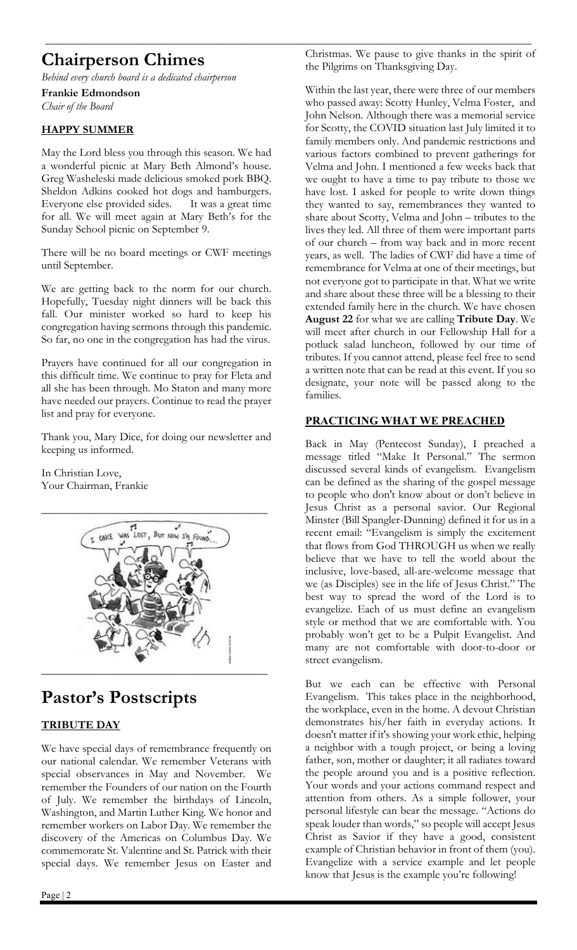# **Chairperson Chimes**

*Behind every church board is a dedicated chairperson*

**Frankie Edmondson** *Chair of the Board*

#### **HAPPY SUMMER**

May the Lord bless you through this season. We had a wonderful picnic at Mary Beth Almond's house. Greg Washeleski made delicious smoked pork BBQ. Sheldon Adkins cooked hot dogs and hamburgers. Everyone else provided sides. It was a great time for all. We will meet again at Mary Beth's for the Sunday School picnic on September 9.

There will be no board meetings or CWF meetings until September.

We are getting back to the norm for our church. Hopefully, Tuesday night dinners will be back this fall. Our minister worked so hard to keep his congregation having sermons through this pandemic. So far, no one in the congregation has had the virus.

Prayers have continued for all our congregation in this difficult time. We continue to pray for Fleta and all she has been through. Mo Staton and many more have needed our prayers. Continue to read the prayer list and pray for everyone.

Thank you, Mary Dice, for doing our newsletter and keeping us informed.

In Christian Love, Your Chairman, Frankie



### **Pastor's Postscripts**

### **TRIBUTE DAY**

We have special days of remembrance frequently on our national calendar. We remember Veterans with special observances in May and November. We remember the Founders of our nation on the Fourth of July. We remember the birthdays of Lincoln, Washington, and Martin Luther King. We honor and remember workers on Labor Day. We remember the discovery of the Americas on Columbus Day. We commemorate St. Valentine and St. Patrick with their special days. We remember Jesus on Easter and

Christmas. We pause to give thanks in the spirit of the Pilgrims on Thanksgiving Day.

**\_\_\_\_\_\_\_\_\_\_\_\_\_\_\_\_\_\_\_\_\_\_\_\_\_\_\_\_\_\_\_\_\_\_\_\_\_\_\_\_\_\_\_\_\_\_\_\_\_\_\_\_\_\_\_\_\_\_\_\_\_\_\_\_\_\_\_\_\_\_\_\_\_\_\_\_\_\_\_\_\_\_\_\_\_\_**

Within the last year, there were three of our members who passed away: Scotty Hunley, Velma Foster, and John Nelson. Although there was a memorial service for Scotty, the COVID situation last July limited it to family members only. And pandemic restrictions and various factors combined to prevent gatherings for Velma and John. I mentioned a few weeks back that we ought to have a time to pay tribute to those we have lost. I asked for people to write down things they wanted to say, remembrances they wanted to share about Scotty, Velma and John – tributes to the lives they led. All three of them were important parts of our church – from way back and in more recent years, as well. The ladies of CWF did have a time of remembrance for Velma at one of their meetings, but not everyone got to participate in that. What we write and share about these three will be a blessing to their extended family here in the church. We have chosen **August 22** for what we are calling **Tribute Day**. We will meet after church in our Fellowship Hall for a potluck salad luncheon, followed by our time of tributes. If you cannot attend, please feel free to send a written note that can be read at this event. If you so designate, your note will be passed along to the families.

### **PRACTICING WHAT WE PREACHED**

Back in May (Pentecost Sunday), I preached a message titled "Make It Personal." The sermon discussed several kinds of evangelism. Evangelism can be defined as the sharing of the gospel message to people who don't know about or don't believe in Jesus Christ as a personal savior. Our Regional Minster (Bill Spangler-Dunning) defined it for us in a recent email: "Evangelism is simply the excitement that flows from God THROUGH us when we really believe that we have to tell the world about the inclusive, love-based, all-are-welcome message that we (as Disciples) see in the life of Jesus Christ." The best way to spread the word of the Lord is to evangelize. Each of us must define an evangelism style or method that we are comfortable with. You probably won't get to be a Pulpit Evangelist. And many are not comfortable with door-to-door or street evangelism.

But we each can be effective with Personal Evangelism. This takes place in the neighborhood, the workplace, even in the home. A devout Christian demonstrates his/her faith in everyday actions. It doesn't matter if it's showing your work ethic, helping a neighbor with a tough project, or being a loving father, son, mother or daughter; it all radiates toward the people around you and is a positive reflection. Your words and your actions command respect and attention from others. As a simple follower, your personal lifestyle can bear the message. "Actions do speak louder than words," so people will accept Jesus Christ as Savior if they have a good, consistent example of Christian behavior in front of them (you). Evangelize with a service example and let people know that Jesus is the example you're following!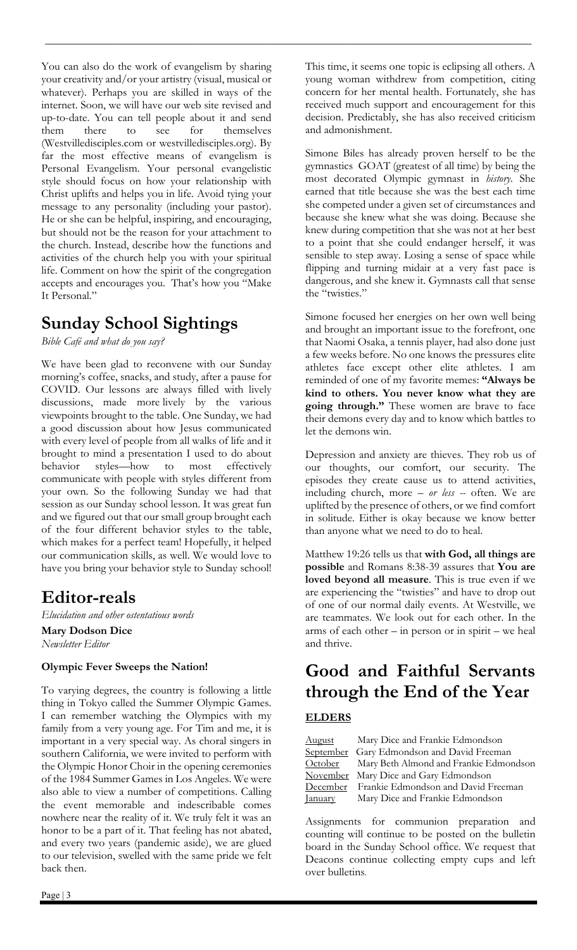You can also do the work of evangelism by sharing your creativity and/or your artistry (visual, musical or whatever). Perhaps you are skilled in ways of the internet. Soon, we will have our web site revised and up-to-date. You can tell people about it and send them there to see for themselves (Westvilledisciples.com or westvilledisciples.org). By far the most effective means of evangelism is Personal Evangelism. Your personal evangelistic style should focus on how your relationship with Christ uplifts and helps you in life. Avoid tying your message to any personality (including your pastor). He or she can be helpful, inspiring, and encouraging, but should not be the reason for your attachment to the church. Instead, describe how the functions and activities of the church help you with your spiritual life. Comment on how the spirit of the congregation accepts and encourages you. That's how you "Make It Personal."

## **Sunday School Sightings**

*Bible Café and what do you say?*

We have been glad to reconvene with our Sunday morning's coffee, snacks, and study, after a pause for COVID. Our lessons are always filled with lively discussions, made more lively by the various viewpoints brought to the table. One Sunday, we had a good discussion about how Jesus communicated with every level of people from all walks of life and it brought to mind a presentation I used to do about behavior styles—how to most effectively communicate with people with styles different from your own. So the following Sunday we had that session as our Sunday school lesson. It was great fun and we figured out that our small group brought each of the four different behavior styles to the table, which makes for a perfect team! Hopefully, it helped our communication skills, as well. We would love to have you bring your behavior style to Sunday school!

### **Editor-reals**

*Elucidation and other ostentatious words* **Mary Dodson Dice** *Newsletter Editor*

### **Olympic Fever Sweeps the Nation!**

To varying degrees, the country is following a little thing in Tokyo called the Summer Olympic Games. I can remember watching the Olympics with my family from a very young age. For Tim and me, it is important in a very special way. As choral singers in southern California, we were invited to perform with the Olympic Honor Choir in the opening ceremonies of the 1984 Summer Games in Los Angeles. We were also able to view a number of competitions. Calling the event memorable and indescribable comes nowhere near the reality of it. We truly felt it was an honor to be a part of it. That feeling has not abated, and every two years (pandemic aside), we are glued to our television, swelled with the same pride we felt back then.

This time, it seems one topic is eclipsing all others. A young woman withdrew from competition, citing concern for her mental health. Fortunately, she has received much support and encouragement for this decision. Predictably, she has also received criticism and admonishment.

**\_\_\_\_\_\_\_\_\_\_\_\_\_\_\_\_\_\_\_\_\_\_\_\_\_\_\_\_\_\_\_\_\_\_\_\_\_\_\_\_\_\_\_\_\_\_\_\_\_\_\_\_\_\_\_\_\_\_\_\_\_\_\_\_\_\_\_\_\_\_\_\_\_\_\_\_\_\_\_\_\_\_\_\_\_\_**

Simone Biles has already proven herself to be the gymnastics GOAT (greatest of all time) by being the most decorated Olympic gymnast in *history*. She earned that title because she was the best each time she competed under a given set of circumstances and because she knew what she was doing. Because she knew during competition that she was not at her best to a point that she could endanger herself, it was sensible to step away. Losing a sense of space while flipping and turning midair at a very fast pace is dangerous, and she knew it. Gymnasts call that sense the "twisties."

Simone focused her energies on her own well being and brought an important issue to the forefront, one that Naomi Osaka, a tennis player, had also done just a few weeks before. No one knows the pressures elite athletes face except other elite athletes. I am reminded of one of my favorite memes: **"Always be kind to others. You never know what they are going through."** These women are brave to face their demons every day and to know which battles to let the demons win.

Depression and anxiety are thieves. They rob us of our thoughts, our comfort, our security. The episodes they create cause us to attend activities, including church, more – *or less --* often. We are uplifted by the presence of others, or we find comfort in solitude. Either is okay because we know better than anyone what we need to do to heal.

Matthew 19:26 tells us that **with God, all things are possible** and Romans 8:38-39 assures that **You are loved beyond all measure**. This is true even if we are experiencing the "twisties" and have to drop out of one of our normal daily events. At Westville, we are teammates. We look out for each other. In the arms of each other – in person or in spirit – we heal and thrive.

## **Good and Faithful Servants through the End of the Year ELDERS**

| <u>August</u>  | Mary Dice and Frankie Edmondson                |
|----------------|------------------------------------------------|
|                | September Gary Edmondson and David Freeman     |
|                | October Mary Beth Almond and Frankie Edmondson |
|                | November Mary Dice and Gary Edmondson          |
|                | December Frankie Edmondson and David Freeman   |
| <b>January</b> | Mary Dice and Frankie Edmondson                |

Assignments for communion preparation and counting will continue to be posted on the bulletin board in the Sunday School office. We request that Deacons continue collecting empty cups and left over bulletins.